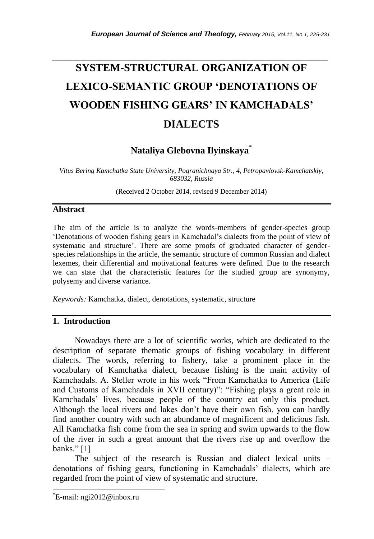# *\_\_\_\_\_\_\_\_\_\_\_\_\_\_\_\_\_\_\_\_\_\_\_\_\_\_\_\_\_\_\_\_\_\_\_\_\_\_\_\_\_\_\_\_\_\_\_\_\_\_\_\_\_\_\_\_\_\_\_\_\_\_\_\_\_\_\_\_\_\_\_* **SYSTEM-STRUCTURAL ORGANIZATION OF LEXICO-SEMANTIC GROUP 'DENOTATIONS OF WOODEN FISHING GEARS' IN KAMCHADALS' DIALECTS**

# **Nataliya Glebovna Ilyinskaya**\*

*Vitus Bering Kamchatka State University, Pogranichnaya Str., 4, Petropavlovsk-Kamchatskiy, 683032, Russia*

(Received 2 October 2014, revised 9 December 2014)

# **Abstract**

The aim of the article is to analyze the words-members of gender-species group "Denotations of wooden fishing gears in Kamchadal"s dialects from the point of view of systematic and structure". There are some proofs of graduated character of genderspecies relationships in the article, the semantic structure of common Russian and dialect lexemes, their differential and motivational features were defined. Due to the research we can state that the characteristic features for the studied group are synonymy, polysemy and diverse variance.

*Keywords:* Kamchatka, dialect, denotations, systematic, structure

## **1. Introduction**

Nowadays there are a lot of scientific works, which are dedicated to the description of separate thematic groups of fishing vocabulary in different dialects. The words, referring to fishery, take a prominent place in the vocabulary of Kamchatka dialect, because fishing is the main activity of Kamchadals. A. Steller wrote in his work "From Kamchatka to America (Life and Customs of Kamchadals in XVII century)": "Fishing plays a great role in Kamchadals" lives, because people of the country eat only this product. Although the local rivers and lakes don"t have their own fish, you can hardly find another country with such an abundance of magnificent and delicious fish. All Kamchatka fish come from the sea in spring and swim upwards to the flow of the river in such a great amount that the rivers rise up and overflow the banks."  $[1]$ 

The subject of the research is Russian and dialect lexical units – denotations of fishing gears, functioning in Kamchadals" dialects, which are regarded from the point of view of systematic and structure.

l

<sup>\*</sup>E-mail: ngi2012@inbox.ru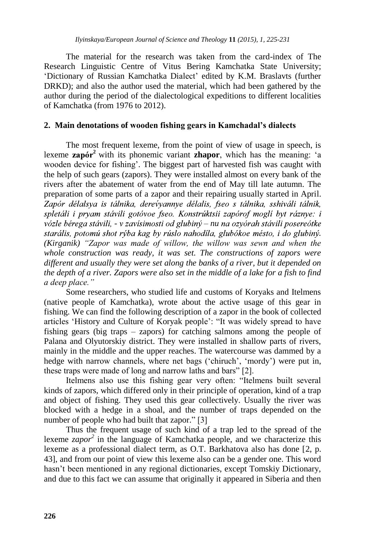The material for the research was taken from the card-index of The Research Linguistic Centre of Vitus Bering Kamchatka State University; "Dictionary of Russian Kamchatka Dialect" edited by K.M. Braslavts (further DRKD); and also the author used the material, which had been gathered by the author during the period of the dialectological expeditions to different localities of Kamchatka (from 1976 to 2012).

#### **2. Main denotations of wooden fishing gears in Kamchadal's dialects**

The most frequent lexeme, from the point of view of usage in speech, is lexeme  $\mathbf{z}$ apór<sup>2</sup> with its phonemic variant **zhapor**, which has the meaning: "a wooden device for fishing". The biggest part of harvested fish was caught with the help of such gears (zapors). They were installed almost on every bank of the rivers after the abatement of water from the end of May till late autumn. The preparation of some parts of a zapor and their repairing usually started in April. Zapór délalsva is tálnika, derevyannye délalis, fseo s tálnika, sshiváli tálnik, spletáli i prvam stávili gotóvoe fseo. Konstrúktsii zapórof moglí byt ráznye: i vózle bérega stávili, - v zavísimosti od glubiný – nu na ozvórah stávili posereótke starális, potomú shot rýba kag by rúslo nahodíla, glubókoe mésto, i do glubiný. *(Kirganik) "Zapor was made of willow, the willow was sewn and when the whole construction was ready, it was set. The constructions of zapors were different and usually they were set along the banks of a river, but it depended on the depth of a river. Zapors were also set in the middle of a lake for a fish to find a deep place."*

Some researchers, who studied life and customs of Koryaks and Itelmens (native people of Kamchatka), wrote about the active usage of this gear in fishing. We can find the following description of a zapor in the book of collected articles "History and Culture of Koryak people": "It was widely spread to have fishing gears (big traps – zapors) for catching salmons among the people of Palana and Olyutorskiy district. They were installed in shallow parts of rivers, mainly in the middle and the upper reaches. The watercourse was dammed by a hedge with narrow channels, where net bags ('chiruch', 'mordy') were put in, these traps were made of long and narrow laths and bars" [2].

Itelmens also use this fishing gear very often: "Itelmens built several kinds of zapors, which differed only in their principle of operation, kind of a trap and object of fishing. They used this gear collectively. Usually the river was blocked with a hedge in a shoal, and the number of traps depended on the number of people who had built that zapor." [3]

Thus the frequent usage of such kind of a trap led to the spread of the lexeme *zapor*<sup>2</sup> in the language of Kamchatka people, and we characterize this lexeme as a professional dialect term, as O.T. Barkhatova also has done [2, p. 43], and from our point of view this lexeme also can be a gender one. This word hasn"t been mentioned in any regional dictionaries, except Tomskiy Dictionary, and due to this fact we can assume that originally it appeared in Siberia and then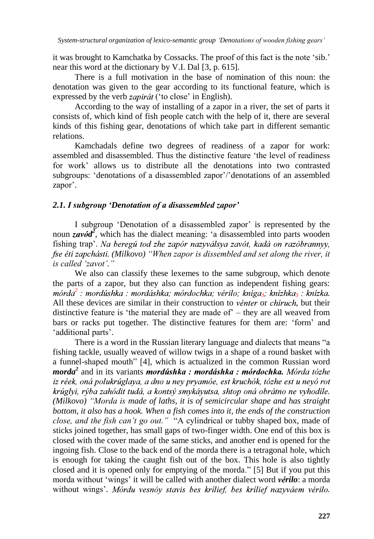it was brought to Kamchatka by Cossacks. The proof of this fact is the note "sib." near this word at the dictionary by V.I. Dal [3, p. 615].

There is a full motivation in the base of nomination of this noun: the denotation was given to the gear according to its functional feature, which is expressed by the verb *zapirát* ('to close' in English).

According to the way of installing of a zapor in a river, the set of parts it consists of, which kind of fish people catch with the help of it, there are several kinds of this fishing gear, denotations of which take part in different semantic relations.

Kamchadals define two degrees of readiness of a zapor for work: assembled and disassembled. Thus the distinctive feature "the level of readiness for work" allows us to distribute all the denotations into two contrasted subgroups: 'denotations of a disassembled zapor'/'denotations of an assembled zapor'.

#### *2.1. I subgroup 'Denotation of a disassembled zapor'*

I subgroup 'Denotation of a disassembled zapor' is represented by the noun  $z \alpha \nu \delta d^2$ , which has the dialect meaning: 'a disassembled into parts wooden fishing trap'. Na beregú tod zhe zapór nazyválsya zavót, kadá on razóbrannyy, *. (Milkovo) "When zapor is dissembled and set along the river, it is called "zavot"."*

We also can classify these lexemes to the same subgroup, which denote the parts of a zapor, but they also can function as independent fishing gears: <sup>2</sup> : mordúshka : mordáshka; mórdochka; vérilo; kníga<sub>3</sub>; knízhka<sub>3</sub> : knízka. All these devices are similar in their construction to *venter* or *chiruch*, but their distinctive feature is 'the material they are made of  $-$  they are all weaved from bars or racks put together. The distinctive features for them are: "form" and 'additional parts'.

There is a word in the Russian literary language and dialects that means "a fishing tackle, usually weaved of willow twigs in a shape of a round basket with a funnel-shaped mouth" [4], which is actualized in the common Russian word *morda*<sup>2</sup> and in its variants *mordúshka : mordáshka : mórdochka.* iz réek, oná polukrúglaya, a dno u ney pryamóe, est kruchók, tózhe est u neyó rot krúglyi, rýba zahódit tudá, a kontsý smykáyutsa, shtop oná obrátno ne vyhodíle. *(Milkovo) "Morda is made of laths, it is of semicircular shape and has straight bottom, it also has a hook. When a fish comes into it, the ends of the construction close, and the fish can"t go out."* "A cylindrical or tubby shaped box, made of sticks joined together, has small gaps of two-finger width. One end of this box is closed with the cover made of the same sticks, and another end is opened for the ingoing fish. Close to the back end of the morda there is a tetragonal hole, which is enough for taking the caught fish out of the box. This hole is also tightly closed and it is opened only for emptying of the morda." [5] But if you put this morda without 'wings' it will be called with another dialect word *vérilo*: a morda without wings'. Mórdu vesnóy stavis bes krílief, bes krílief nazyváem vérilo.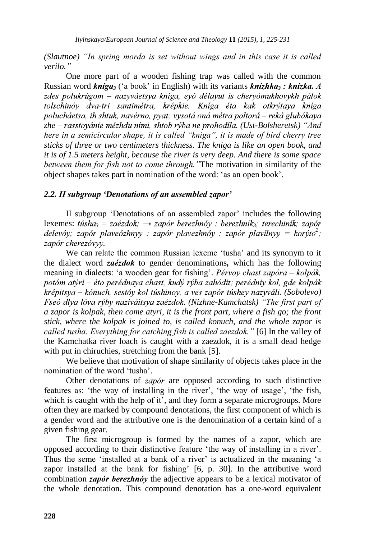*(Slautnoe) "In spring morda is set without wings and in this case it is called verilo."*

One more part of a wooden fishing trap was called with the common Russian word  $\boldsymbol{kn}$   $\boldsymbol{qa}_3$  ('a book' in English) with its variants  $\boldsymbol{kn}$   $\boldsymbol{z}$   $\boldsymbol{hx}$   $\boldsymbol{a}$ ,  $\boldsymbol{A}$ zdes polukrúgom – nazyváetsya kníga, evó délayut is cheryómukhovykh pálok tolschinóy dva-tri santimétra, krépkie. Kníga éta kak otkrýtaya kníga polucháetsa, ih shtuk, navérno, pyat; vysotá oná métra poltorá – reká glubókaya zhe – rasstovánie mézhdu ními, shtob rýba ne prohodíla. (Ust-Bolsheretsk) "And *here in a semicircular shape, it is called "kniga", it is made of bird cherry tree sticks of three or two centimeters thickness. The kniga is like an open book, and it is of 1.5 meters height, because the river is very deep. And there is some space between them for fish not to come through."*The motivation in similarity of the object shapes takes part in nomination of the word: "as an open book".

## *2.2. II subgroup 'Denotations of an assembled zapor'*

II subgroup 'Denotations of an assembled zapor' includes the following lexemes: *túsha*<sub>3</sub> = *zaézdok*;  $\rightarrow$  *zapór berezhnóv : berezhník*; *terechiník; zapór delevóv; zapór plaveózhnyy : zapór plavezhnóv : zapór plavílnyy = korýto<sup>2</sup>;* zapór cherezóvvv.

We can relate the common Russian lexeme "tusha" and its synonym to it the dialect word *zaezdok* to gender denominations, which has the following meaning in dialects: 'a wooden gear for fishing'. *Pérvoy chast zapóra – kolpák*, potóm atýri – éto perédnaya chast, kudý rýba zahódit; perédniy kol, gde kolpák krépitsya – kónuch, sestóy kol túshinoy, a ves zapór túshey nazyváli. (Sobolevo) *Fseó dlya lóva rýby naziváitsya zaézdok. (Nizhne-Kamchatsk) "The first part of a zapor is kolpak, then come atyri, it is the front part, where a fish go; the front stick, where the kolpak is joined to, is called konuch, and the whole zapor is called tusha. Everything for catching fish is called zaezdok."* [6] In the valley of the Kamchatka river loach is caught with a zaezdok, it is a small dead hedge with put in chiruchies, stretching from the bank [5].

We believe that motivation of shape similarity of objects takes place in the nomination of the word 'tusha'

Other denotations of zapór are opposed according to such distinctive features as: 'the way of installing in the river', 'the way of usage', 'the fish, which is caught with the help of it', and they form a separate microgroups. More often they are marked by compound denotations, the first component of which is a gender word and the attributive one is the denomination of a certain kind of a given fishing gear.

The first microgroup is formed by the names of a zapor, which are opposed according to their distinctive feature "the way of installing in a river". Thus the seme 'installed at a bank of a river' is actualized in the meaning 'a zapor installed at the bank for fishing' [6, p. 30]. In the attributive word combination  $\zeta$ *apór berezhnóv* the adjective appears to be a lexical motivator of the whole denotation. This compound denotation has a one-word equivalent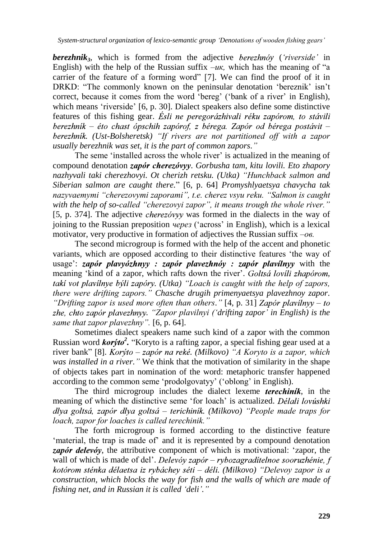*System-structural organization of lexico-semantic group "Denotations of wooden fishing gears"*

*berezhnik*<sup>3</sup>, which is formed from the adjective *berezhnov* (*'riverside'* in English) with the help of the Russian suffix  $-u\kappa$ , which has the meaning of "a carrier of the feature of a forming word" [7]. We can find the proof of it in DRKD: "The commonly known on the peninsular denotation 'bereznik' isn't correct, because it comes from the word 'bereg' ('bank of a river' in English), which means 'riverside' [6, p. 30]. Dialect speakers also define some distinctive features of this fishing gear. *Ésli ne peregorázhivali réku zapórom*, to stávili berezhník – éto chast ópschih zapórof, z bérega. Zapór od bérega postávit – *. (Ust-Bolsheretsk) "If rivers are not partitioned off with a zapor usually berezhnik was set, it is the part of common zapors."*

The seme 'installed across the whole river' is actualized in the meaning of compound denotation zapór cherezóvyy. Gorbusha tam, kitu lovili. Eto zhapory *nazhyvali taki cherezhovyi. Ot cherizh retsku. (Utka) "Hunchback salmon and Siberian salmon are caught there.*" [6, p. 64] *Promyshlyaetsya chavycha tak nazyvaemymi "cherezovymi zaporami", t.e. cherez vsyu reku. "Salmon is caught with the help of so-called "cherezovyi zapor", it means trough the whole river."* [5, p. 374]. The adjective *cherezovyy* was formed in the dialects in the way of joining to the Russian preposition *через* ("across" in English), which is a lexical motivator, very productive in formation of adjectives the Russian suffix *–ов.* 

The second microgroup is formed with the help of the accent and phonetic variants, which are opposed according to their distinctive features "the way of usage':  $zap$  or play  $yz$  is  $zap$  or play  $ez$  have  $zap$  or play  $y$  with the meaning 'kind of a zapor, which rafts down the river'. *Goltsá lovili zhapórom*, *taki vot plavilnye býli zapóry.* (*Utka*) "Loach is caught with the help of zapors, *there were drifting zapors." Chasche drugih primenyaetsya plavezhnoy zapor. "Drifting zapor is used more often than others."* [4, p. 31] *Zapór plavílnyy – to . "Zapor plavilnyi ("drifting zapor" in English) is the same that zapor plavezhny".* [6, p. 64].

Sometimes dialect speakers name such kind of a zapor with the common Russian word *korýto*<sup>2</sup>. "Koryto is a rafting zapor, a special fishing gear used at a river bank" [8]. *Korýto – zapór na reké.* (Milkovo) "A Koryto is a zapor, which *was installed in a river."* We think that the motivation of similarity in the shape of objects takes part in nomination of the word: metaphoric transfer happened according to the common seme "prodolgovatyy" ("oblong" in English).

The third microgroup includes the dialect lexeme *terechinik*, in the meaning of which the distinctive seme 'for loach' is actualized. Délali lovúshki *– . (Milkovo) "People made traps for loach, zapor for loaches is called terechinik."*

The forth microgroup is formed according to the distinctive feature 'material, the trap is made of' and it is represented by a compound denotation zapór delevóy, the attributive component of which is motivational: 'zapor, the wall of which is made of del'. *Delevóy zapór – rybozagraditelnoe sooruzhénie*, f *– . (Milkovo) "Delevoy zapor is a construction, which blocks the way for fish and the walls of which are made of fishing net, and in Russian it is called "deli"."*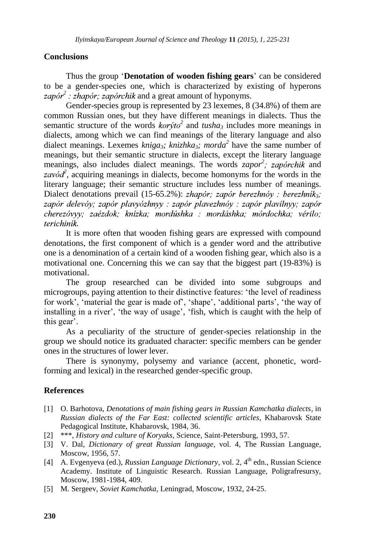#### **Conclusions**

Thus the group "**Denotation of wooden fishing gears**" can be considered to be a gender-species one, which is characterized by existing of hyperons  $2$ : *zhapór*; *zapórchik* and a great amount of hyponyms.

Gender-species group is represented by 23 lexemes, 8 (34.8%) of them are common Russian ones, but they have different meanings in dialects. Thus the semantic structure of the words  $kor\dot{y}$  and  $tusha_3$  includes more meanings in dialects, among which we can find meanings of the literary language and also dialect meanings. Lexemes *kniga3; knizhka3; morda<sup>2</sup>* have the same number of meanings, but their semantic structure in dialects, except the literary language meanings, also includes dialect meanings. The words *zapor<sup>2</sup>*; *zaporchik* and  $\alpha$ , acquiring meanings in dialects, become homonyms for the words in the literary language; their semantic structure includes less number of meanings. Dialect denotations prevail (15-65.2%): *zhapór*; *zapór berezhnóv* : *berezhník*<sub>3</sub>; zapór delevóv; zapór plavyózhnyy ; zapór playezhnóv ; zapór playílnyy; zapór cherezóvyy; zaézdok; knízka; mordúshka ; mordáshka; mórdochka; vérilo; *.*

It is more often that wooden fishing gears are expressed with compound denotations, the first component of which is a gender word and the attributive one is a denomination of a certain kind of a wooden fishing gear, which also is a motivational one. Concerning this we can say that the biggest part (19-83%) is motivational.

The group researched can be divided into some subgroups and microgroups, paying attention to their distinctive features: "the level of readiness for work', 'material the gear is made of', 'shape', 'additional parts', 'the way of installing in a river', 'the way of usage', 'fish, which is caught with the help of this gear'.

As a peculiarity of the structure of gender-species relationship in the group we should notice its graduated character: specific members can be gender ones in the structures of lower lever.

There is synonymy, polysemy and variance (accent, phonetic, wordforming and lexical) in the researched gender-specific group.

#### **References**

- [1] O. Barhotova, *Denotations of main fishing gears in Russian Kamchatka dialects*, in *Russian dialects of the Far East: collected scientific articles*, Khabarovsk State Pedagogical Institute, Khabarovsk, 1984, 36.
- [2] \*\*\*, *History and culture of Koryaks*, Science, Saint-Petersburg, 1993, 57.
- [3] V. Dal, *Dictionary of great Russian language*, vol. 4, The Russian Language, Moscow, 1956, 57.
- [4] A. Evgenyeva (ed.), *Russian Language Dictionary*, vol. 2, 4th edn., Russian Science Academy. Institute of Linguistic Research. Russian Language, Poligrafresursy, Moscow, 1981-1984, 409.
- [5] M. Sergeev, *Soviet Kamchatka*, Leningrad, Moscow, 1932, 24-25.